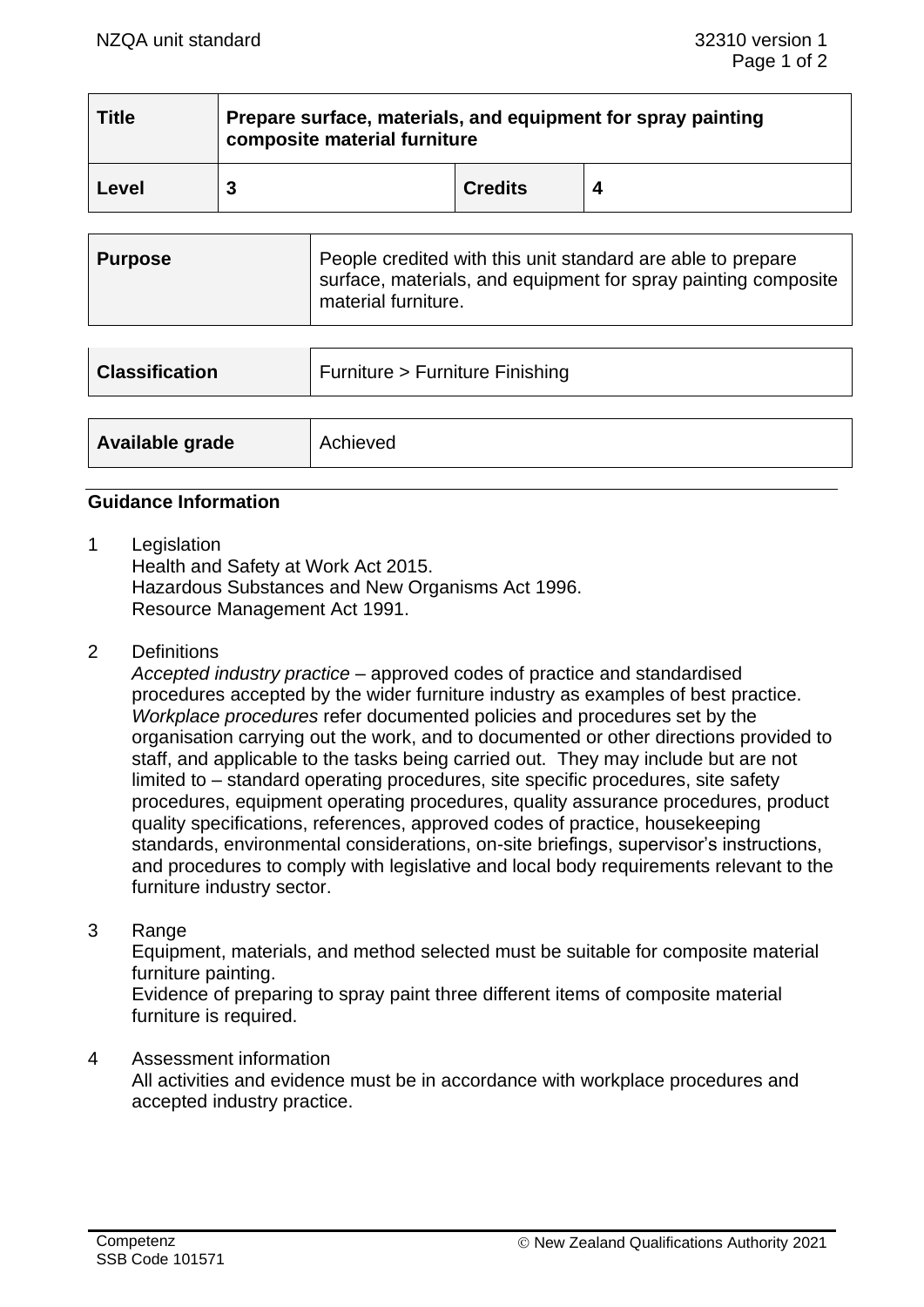| <b>Title</b> | Prepare surface, materials, and equipment for spray painting<br>composite material furniture |                |  |  |
|--------------|----------------------------------------------------------------------------------------------|----------------|--|--|
| Level        |                                                                                              | <b>Credits</b> |  |  |

| Purpose | People credited with this unit standard are able to prepare<br>surface, materials, and equipment for spray painting composite<br>material furniture. |
|---------|------------------------------------------------------------------------------------------------------------------------------------------------------|
|---------|------------------------------------------------------------------------------------------------------------------------------------------------------|

| <b>Classification</b> | Furniture > Furniture Finishing |  |
|-----------------------|---------------------------------|--|
|                       |                                 |  |
| Available grade       | Achieved                        |  |

# **Guidance Information**

1 Legislation

Health and Safety at Work Act 2015. Hazardous Substances and New Organisms Act 1996. Resource Management Act 1991.

2 Definitions

*Accepted industry practice* – approved codes of practice and standardised procedures accepted by the wider furniture industry as examples of best practice. *Workplace procedures* refer documented policies and procedures set by the organisation carrying out the work, and to documented or other directions provided to staff, and applicable to the tasks being carried out. They may include but are not limited to – standard operating procedures, site specific procedures, site safety procedures, equipment operating procedures, quality assurance procedures, product quality specifications, references, approved codes of practice, housekeeping standards, environmental considerations, on-site briefings, supervisor's instructions, and procedures to comply with legislative and local body requirements relevant to the furniture industry sector.

3 Range

Equipment, materials, and method selected must be suitable for composite material furniture painting.

Evidence of preparing to spray paint three different items of composite material furniture is required.

### 4 Assessment information

All activities and evidence must be in accordance with workplace procedures and accepted industry practice.